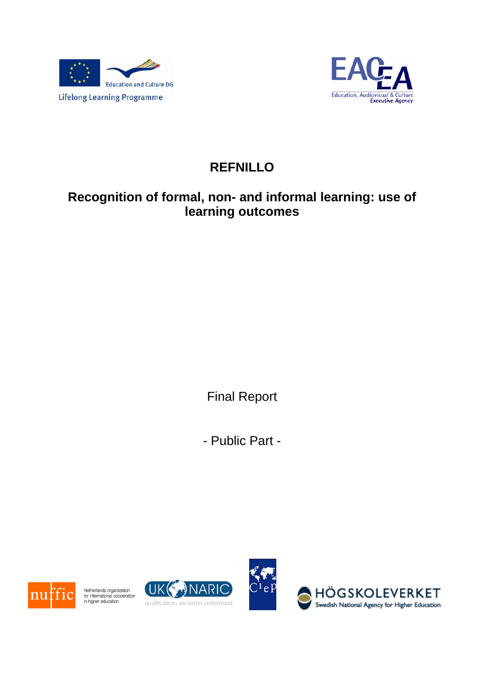



# **REFNILLO**

# **Recognition of formal, non- and informal learning: use of learning outcomes**

Final Report

- Public Part -



Netherlands organization<br>for international cooperation<br>in higher education



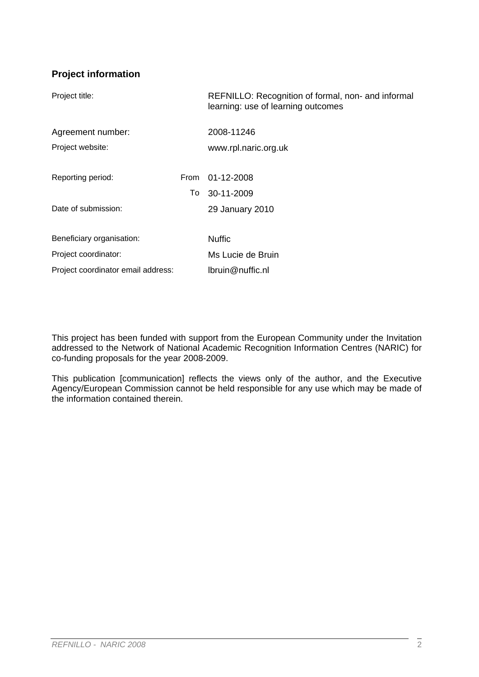# **Project information**

| Project title:                     |             | REFNILLO: Recognition of formal, non- and informal<br>learning: use of learning outcomes |
|------------------------------------|-------------|------------------------------------------------------------------------------------------|
| Agreement number:                  |             | 2008-11246                                                                               |
| Project website:                   |             | www.rpl.naric.org.uk                                                                     |
|                                    |             |                                                                                          |
| Reporting period:                  | <b>From</b> | 01-12-2008                                                                               |
|                                    | To          | 30-11-2009                                                                               |
| Date of submission:                |             | 29 January 2010                                                                          |
|                                    |             |                                                                                          |
| Beneficiary organisation:          |             | <b>Nuffic</b>                                                                            |
| Project coordinator:               |             | Ms Lucie de Bruin                                                                        |
| Project coordinator email address: |             | lbruin@nuffic.nl                                                                         |
|                                    |             |                                                                                          |

This project has been funded with support from the European Community under the Invitation addressed to the Network of National Academic Recognition Information Centres (NARIC) for co-funding proposals for the year 2008-2009.

This publication [communication] reflects the views only of the author, and the Executive Agency/European Commission cannot be held responsible for any use which may be made of the information contained therein.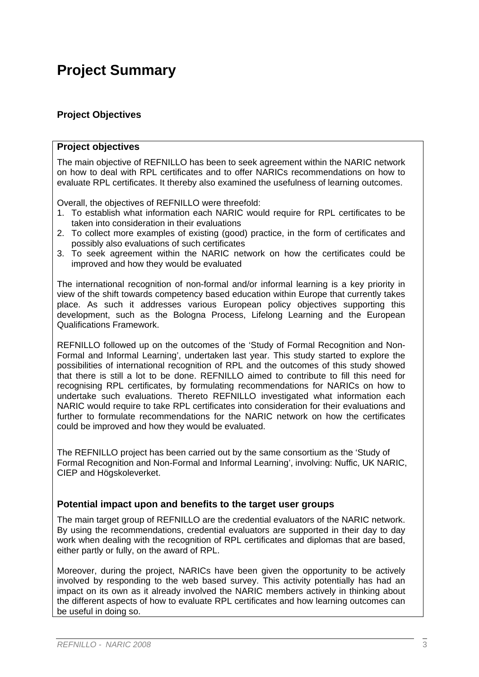# **Project Summary**

# **Project Objectives**

#### **Project objectives**

The main objective of REFNILLO has been to seek agreement within the NARIC network on how to deal with RPL certificates and to offer NARICs recommendations on how to evaluate RPL certificates. It thereby also examined the usefulness of learning outcomes.

Overall, the objectives of REFNILLO were threefold:

- 1. To establish what information each NARIC would require for RPL certificates to be taken into consideration in their evaluations
- 2. To collect more examples of existing (good) practice, in the form of certificates and possibly also evaluations of such certificates
- 3. To seek agreement within the NARIC network on how the certificates could be improved and how they would be evaluated

The international recognition of non-formal and/or informal learning is a key priority in view of the shift towards competency based education within Europe that currently takes place. As such it addresses various European policy objectives supporting this development, such as the Bologna Process, Lifelong Learning and the European Qualifications Framework.

REFNILLO followed up on the outcomes of the 'Study of Formal Recognition and Non-Formal and Informal Learning', undertaken last year. This study started to explore the possibilities of international recognition of RPL and the outcomes of this study showed that there is still a lot to be done. REFNILLO aimed to contribute to fill this need for recognising RPL certificates, by formulating recommendations for NARICs on how to undertake such evaluations. Thereto REFNILLO investigated what information each NARIC would require to take RPL certificates into consideration for their evaluations and further to formulate recommendations for the NARIC network on how the certificates could be improved and how they would be evaluated.

The REFNILLO project has been carried out by the same consortium as the 'Study of Formal Recognition and Non-Formal and Informal Learning', involving: Nuffic, UK NARIC, CIEP and Högskoleverket.

### **Potential impact upon and benefits to the target user groups**

The main target group of REFNILLO are the credential evaluators of the NARIC network. By using the recommendations, credential evaluators are supported in their day to day work when dealing with the recognition of RPL certificates and diplomas that are based, either partly or fully, on the award of RPL.

Moreover, during the project, NARICs have been given the opportunity to be actively involved by responding to the web based survey. This activity potentially has had an impact on its own as it already involved the NARIC members actively in thinking about the different aspects of how to evaluate RPL certificates and how learning outcomes can be useful in doing so.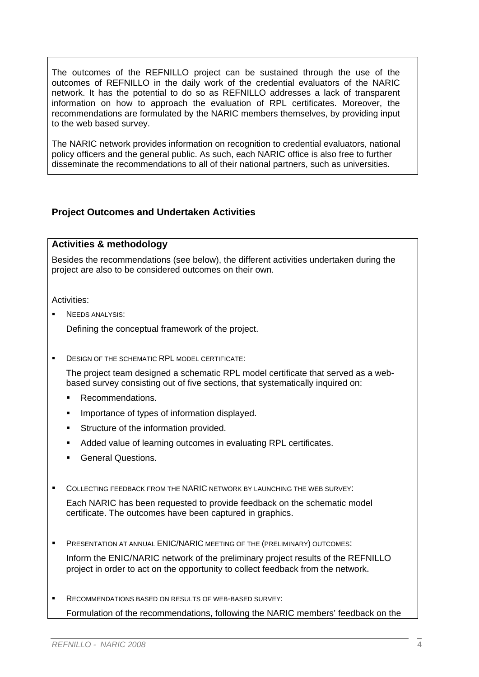The outcomes of the REFNILLO project can be sustained through the use of the outcomes of REFNILLO in the daily work of the credential evaluators of the NARIC network. It has the potential to do so as REFNILLO addresses a lack of transparent information on how to approach the evaluation of RPL certificates. Moreover, the recommendations are formulated by the NARIC members themselves, by providing input to the web based survey.

The NARIC network provides information on recognition to credential evaluators, national policy officers and the general public. As such, each NARIC office is also free to further disseminate the recommendations to all of their national partners, such as universities.

## **Project Outcomes and Undertaken Activities**

#### **Activities & methodology**

Besides the recommendations (see below), the different activities undertaken during the project are also to be considered outcomes on their own.

#### Activities:

NEEDS ANALYSIS:

Defining the conceptual framework of the project.

**DESIGN OF THE SCHEMATIC RPL MODEL CERTIFICATE:** 

The project team designed a schematic RPL model certificate that served as a webbased survey consisting out of five sections, that systematically inquired on:

- Recommendations.
- **IMPORTANCE OF THORE SET INFORMATION CONCERT**
- **Structure of the information provided.**
- **Added value of learning outcomes in evaluating RPL certificates.**
- **General Questions.**
- COLLECTING FEEDBACK FROM THE NARIC NETWORK BY LAUNCHING THE WEB SURVEY:

Each NARIC has been requested to provide feedback on the schematic model certificate. The outcomes have been captured in graphics.

PRESENTATION AT ANNUAL ENIC/NARIC MEETING OF THE (PRELIMINARY) OUTCOMES:

Inform the ENIC/NARIC network of the preliminary project results of the REFNILLO project in order to act on the opportunity to collect feedback from the network.

 RECOMMENDATIONS BASED ON RESULTS OF WEB-BASED SURVEY: Formulation of the recommendations, following the NARIC members' feedback on the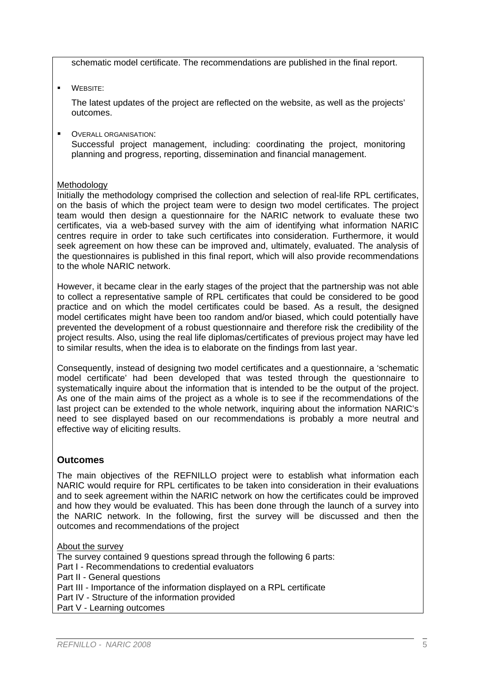schematic model certificate. The recommendations are published in the final report.

**WEBSITE:** 

The latest updates of the project are reflected on the website, as well as the projects' outcomes.

OVERALL ORGANISATION:

Successful project management, including: coordinating the project, monitoring planning and progress, reporting, dissemination and financial management.

#### Methodology

Initially the methodology comprised the collection and selection of real-life RPL certificates, on the basis of which the project team were to design two model certificates. The project team would then design a questionnaire for the NARIC network to evaluate these two certificates, via a web-based survey with the aim of identifying what information NARIC centres require in order to take such certificates into consideration. Furthermore, it would seek agreement on how these can be improved and, ultimately, evaluated. The analysis of the questionnaires is published in this final report, which will also provide recommendations to the whole NARIC network.

However, it became clear in the early stages of the project that the partnership was not able to collect a representative sample of RPL certificates that could be considered to be good practice and on which the model certificates could be based. As a result, the designed model certificates might have been too random and/or biased, which could potentially have prevented the development of a robust questionnaire and therefore risk the credibility of the project results. Also, using the real life diplomas/certificates of previous project may have led to similar results, when the idea is to elaborate on the findings from last year.

Consequently, instead of designing two model certificates and a questionnaire, a 'schematic model certificate' had been developed that was tested through the questionnaire to systematically inquire about the information that is intended to be the output of the project. As one of the main aims of the project as a whole is to see if the recommendations of the last project can be extended to the whole network, inquiring about the information NARIC's need to see displayed based on our recommendations is probably a more neutral and effective way of eliciting results.

# **Outcomes**

The main objectives of the REFNILLO project were to establish what information each NARIC would require for RPL certificates to be taken into consideration in their evaluations and to seek agreement within the NARIC network on how the certificates could be improved and how they would be evaluated. This has been done through the launch of a survey into the NARIC network. In the following, first the survey will be discussed and then the outcomes and recommendations of the project

### **About the survev**

The survey contained 9 questions spread through the following 6 parts: Part I - Recommendations to credential evaluators Part II - General questions Part III - Importance of the information displayed on a RPL certificate Part IV - Structure of the information provided Part V - Learning outcomes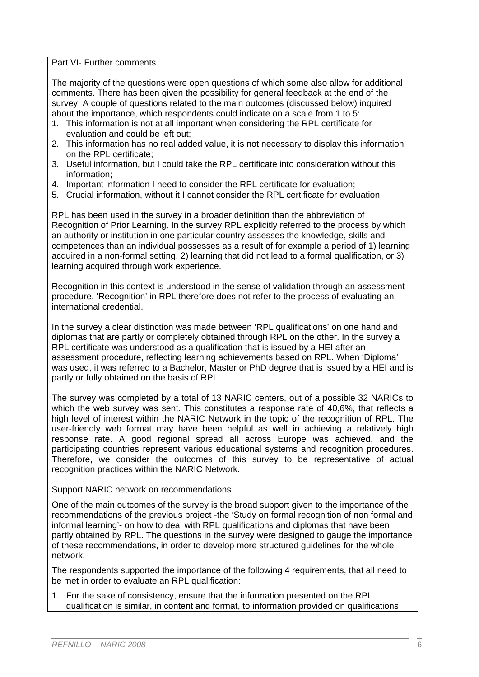Part VI- Further comments

The majority of the questions were open questions of which some also allow for additional comments. There has been given the possibility for general feedback at the end of the survey. A couple of questions related to the main outcomes (discussed below) inquired about the importance, which respondents could indicate on a scale from 1 to 5:

- 1. This information is not at all important when considering the RPL certificate for evaluation and could be left out;
- 2. This information has no real added value, it is not necessary to display this information on the RPL certificate;
- 3. Useful information, but I could take the RPL certificate into consideration without this information;
- 4. Important information I need to consider the RPL certificate for evaluation;
- 5. Crucial information, without it I cannot consider the RPL certificate for evaluation.

RPL has been used in the survey in a broader definition than the abbreviation of Recognition of Prior Learning. In the survey RPL explicitly referred to the process by which an authority or institution in one particular country assesses the knowledge, skills and competences than an individual possesses as a result of for example a period of 1) learning acquired in a non-formal setting, 2) learning that did not lead to a formal qualification, or 3) learning acquired through work experience.

Recognition in this context is understood in the sense of validation through an assessment procedure. 'Recognition' in RPL therefore does not refer to the process of evaluating an international credential.

In the survey a clear distinction was made between 'RPL qualifications' on one hand and diplomas that are partly or completely obtained through RPL on the other. In the survey a RPL certificate was understood as a qualification that is issued by a HEI after an assessment procedure, reflecting learning achievements based on RPL. When 'Diploma' was used, it was referred to a Bachelor, Master or PhD degree that is issued by a HEI and is partly or fully obtained on the basis of RPL.

The survey was completed by a total of 13 NARIC centers, out of a possible 32 NARICs to which the web survey was sent. This constitutes a response rate of 40,6%, that reflects a high level of interest within the NARIC Network in the topic of the recognition of RPL. The user-friendly web format may have been helpful as well in achieving a relatively high response rate. A good regional spread all across Europe was achieved, and the participating countries represent various educational systems and recognition procedures. Therefore, we consider the outcomes of this survey to be representative of actual recognition practices within the NARIC Network.

#### Support NARIC network on recommendations

One of the main outcomes of the survey is the broad support given to the importance of the recommendations of the previous project -the 'Study on formal recognition of non formal and informal learning'- on how to deal with RPL qualifications and diplomas that have been partly obtained by RPL. The questions in the survey were designed to gauge the importance of these recommendations, in order to develop more structured guidelines for the whole network.

The respondents supported the importance of the following 4 requirements, that all need to be met in order to evaluate an RPL qualification:

1. For the sake of consistency, ensure that the information presented on the RPL qualification is similar, in content and format, to information provided on qualifications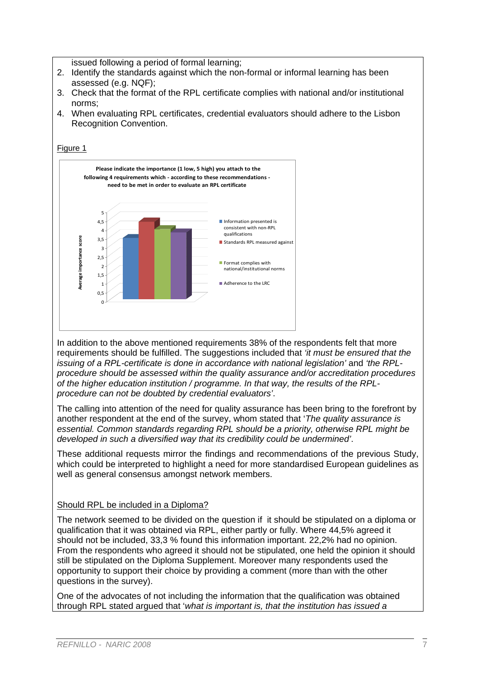issued following a period of formal learning;

- 2. Identify the standards against which the non-formal or informal learning has been assessed (e.g. NQF);
- 3. Check that the format of the RPL certificate complies with national and/or institutional norms;
- 4. When evaluating RPL certificates, credential evaluators should adhere to the Lisbon Recognition Convention.



In addition to the above mentioned requirements 38% of the respondents felt that more requirements should be fulfilled. The suggestions included that *'it must be ensured that the issuing of a RPL-certificate is done in accordance with national legislation'* and *'the RPLprocedure should be assessed within the quality assurance and/or accreditation procedures of the higher education institution / programme. In that way, the results of the RPLprocedure can not be doubted by credential evaluators'*.

The calling into attention of the need for quality assurance has been bring to the forefront by another respondent at the end of the survey, whom stated that '*The quality assurance is essential. Common standards regarding RPL should be a priority, otherwise RPL might be developed in such a diversified way that its credibility could be undermined'*.

These additional requests mirror the findings and recommendations of the previous Study, which could be interpreted to highlight a need for more standardised European guidelines as well as general consensus amongst network members.

#### Should RPL be included in a Diploma?

The network seemed to be divided on the question if it should be stipulated on a diploma or qualification that it was obtained via RPL, either partly or fully. Where 44,5% agreed it should not be included, 33,3 % found this information important. 22,2% had no opinion. From the respondents who agreed it should not be stipulated, one held the opinion it should still be stipulated on the Diploma Supplement. Moreover many respondents used the opportunity to support their choice by providing a comment (more than with the other questions in the survey).

One of the advocates of not including the information that the qualification was obtained through RPL stated argued that '*what is important is, that the institution has issued a*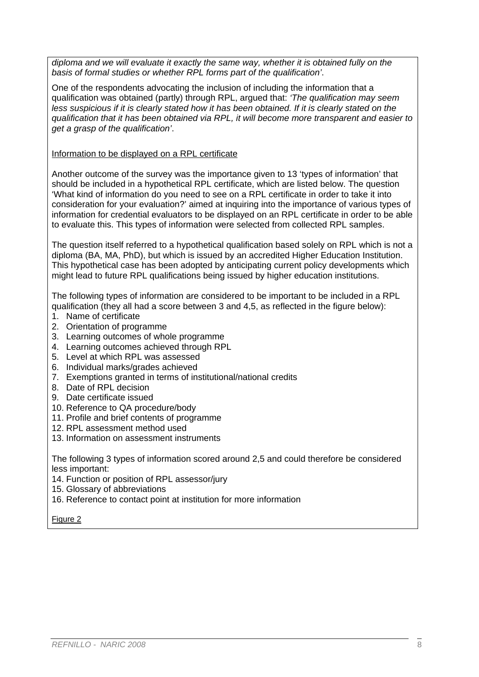*diploma and we will evaluate it exactly the same way, whether it is obtained fully on the basis of formal studies or whether RPL forms part of the qualification'*.

One of the respondents advocating the inclusion of including the information that a qualification was obtained (partly) through RPL, argued that: *'The qualification may seem*  less suspicious if it is clearly stated how it has been obtained. If it is clearly stated on the *qualification that it has been obtained via RPL, it will become more transparent and easier to get a grasp of the qualification'*.

#### Information to be displayed on a RPL certificate

Another outcome of the survey was the importance given to 13 'types of information' that should be included in a hypothetical RPL certificate, which are listed below. The question 'What kind of information do you need to see on a RPL certificate in order to take it into consideration for your evaluation?' aimed at inquiring into the importance of various types of information for credential evaluators to be displayed on an RPL certificate in order to be able to evaluate this. This types of information were selected from collected RPL samples.

The question itself referred to a hypothetical qualification based solely on RPL which is not a diploma (BA, MA, PhD), but which is issued by an accredited Higher Education Institution. This hypothetical case has been adopted by anticipating current policy developments which might lead to future RPL qualifications being issued by higher education institutions.

The following types of information are considered to be important to be included in a RPL qualification (they all had a score between 3 and 4,5, as reflected in the figure below):

- 1. Name of certificate
- 2. Orientation of programme
- 3. Learning outcomes of whole programme
- 4. Learning outcomes achieved through RPL
- 5. Level at which RPL was assessed
- 6. Individual marks/grades achieved
- 7. Exemptions granted in terms of institutional/national credits
- 8. Date of RPL decision
- 9. Date certificate issued
- 10. Reference to QA procedure/body
- 11. Profile and brief contents of programme
- 12. RPL assessment method used
- 13. Information on assessment instruments

The following 3 types of information scored around 2,5 and could therefore be considered less important:

- 14. Function or position of RPL assessor/jury
- 15. Glossary of abbreviations
- 16. Reference to contact point at institution for more information

Figure 2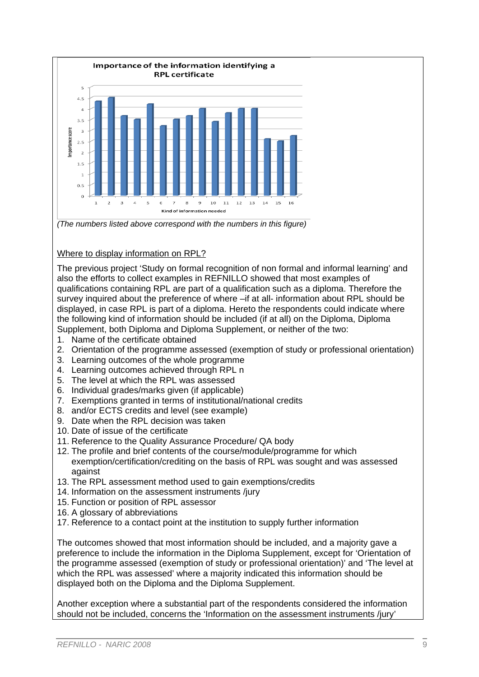

*(The numbers listed above correspond with the numbers in this figure)* 

### Where to display information on RPL?

The previous project 'Study on formal recognition of non formal and informal learning' and also the efforts to collect examples in REFNILLO showed that most examples of qualifications containing RPL are part of a qualification such as a diploma. Therefore the survey inquired about the preference of where –if at all- information about RPL should be displayed, in case RPL is part of a diploma. Hereto the respondents could indicate where the following kind of information should be included (if at all) on the Diploma, Diploma Supplement, both Diploma and Diploma Supplement, or neither of the two:

- 1. Name of the certificate obtained
- 2. Orientation of the programme assessed (exemption of study or professional orientation)
- 3. Learning outcomes of the whole programme
- 4. Learning outcomes achieved through RPL n
- 5. The level at which the RPL was assessed
- 6. Individual grades/marks given (if applicable)
- 7. Exemptions granted in terms of institutional/national credits
- 8. and/or ECTS credits and level (see example)
- 9. Date when the RPL decision was taken
- 10. Date of issue of the certificate
- 11. Reference to the Quality Assurance Procedure/ QA body
- 12. The profile and brief contents of the course/module/programme for which exemption/certification/crediting on the basis of RPL was sought and was assessed against
- 13. The RPL assessment method used to gain exemptions/credits
- 14. Information on the assessment instruments /jury
- 15. Function or position of RPL assessor
- 16. A glossary of abbreviations
- 17. Reference to a contact point at the institution to supply further information

The outcomes showed that most information should be included, and a majority gave a preference to include the information in the Diploma Supplement, except for 'Orientation of the programme assessed (exemption of study or professional orientation)' and 'The level at which the RPL was assessed' where a majority indicated this information should be displayed both on the Diploma and the Diploma Supplement.

Another exception where a substantial part of the respondents considered the information should not be included, concerns the 'Information on the assessment instruments /jury'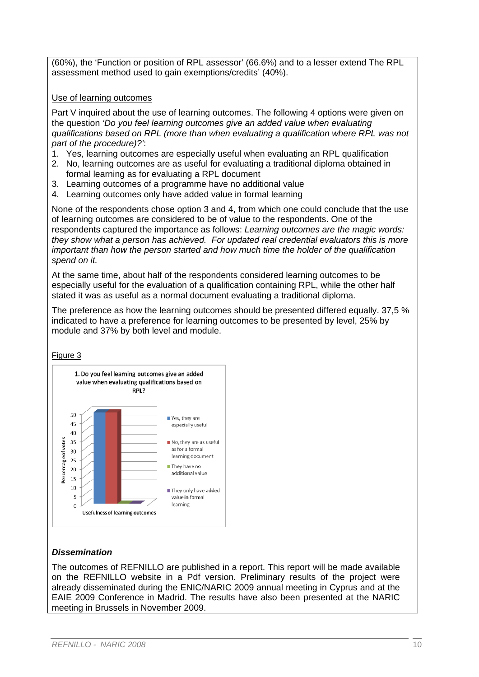(60%), the 'Function or position of RPL assessor' (66.6%) and to a lesser extend The RPL assessment method used to gain exemptions/credits' (40%).

#### Use of learning outcomes

Part V inquired about the use of learning outcomes. The following 4 options were given on the question *'Do you feel learning outcomes give an added value when evaluating qualifications based on RPL (more than when evaluating a qualification where RPL was not part of the procedure)?'*:

- 1. Yes, learning outcomes are especially useful when evaluating an RPL qualification
- 2. No, learning outcomes are as useful for evaluating a traditional diploma obtained in formal learning as for evaluating a RPL document
- 3. Learning outcomes of a programme have no additional value
- 4. Learning outcomes only have added value in formal learning

None of the respondents chose option 3 and 4, from which one could conclude that the use of learning outcomes are considered to be of value to the respondents. One of the respondents captured the importance as follows: *Learning outcomes are the magic words: they show what a person has achieved. For updated real credential evaluators this is more important than how the person started and how much time the holder of the qualification spend on it.* 

At the same time, about half of the respondents considered learning outcomes to be especially useful for the evaluation of a qualification containing RPL, while the other half stated it was as useful as a normal document evaluating a traditional diploma.

The preference as how the learning outcomes should be presented differed equally. 37,5 % indicated to have a preference for learning outcomes to be presented by level, 25% by module and 37% by both level and module.

#### Figure 3



### *Dissemination*

The outcomes of REFNILLO are published in a report. This report will be made available on the REFNILLO website in a Pdf version. Preliminary results of the project were already disseminated during the ENIC/NARIC 2009 annual meeting in Cyprus and at the EAIE 2009 Conference in Madrid. The results have also been presented at the NARIC meeting in Brussels in November 2009.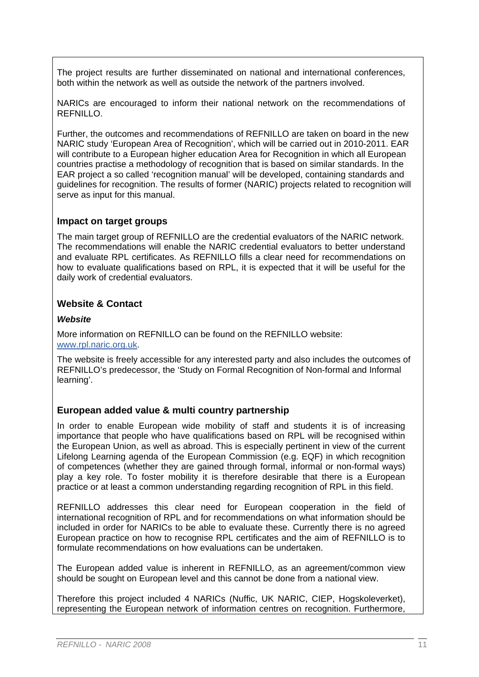The project results are further disseminated on national and international conferences, both within the network as well as outside the network of the partners involved.

NARICs are encouraged to inform their national network on the recommendations of REFNILLO.

Further, the outcomes and recommendations of REFNILLO are taken on board in the new NARIC study 'European Area of Recognition', which will be carried out in 2010-2011. EAR will contribute to a European higher education Area for Recognition in which all European countries practise a methodology of recognition that is based on similar standards. In the EAR project a so called 'recognition manual' will be developed, containing standards and guidelines for recognition. The results of former (NARIC) projects related to recognition will serve as input for this manual.

## **Impact on target groups**

The main target group of REFNILLO are the credential evaluators of the NARIC network. The recommendations will enable the NARIC credential evaluators to better understand and evaluate RPL certificates. As REFNILLO fills a clear need for recommendations on how to evaluate qualifications based on RPL, it is expected that it will be useful for the daily work of credential evaluators.

## **Website & Contact**

#### *Website*

More information on REFNILLO can be found on the REFNILLO website: www.rpl.naric.org.uk.

The website is freely accessible for any interested party and also includes the outcomes of REFNILLO's predecessor, the 'Study on Formal Recognition of Non-formal and Informal learning'.

### **European added value & multi country partnership**

In order to enable European wide mobility of staff and students it is of increasing importance that people who have qualifications based on RPL will be recognised within the European Union, as well as abroad. This is especially pertinent in view of the current Lifelong Learning agenda of the European Commission (e.g. EQF) in which recognition of competences (whether they are gained through formal, informal or non-formal ways) play a key role. To foster mobility it is therefore desirable that there is a European practice or at least a common understanding regarding recognition of RPL in this field.

REFNILLO addresses this clear need for European cooperation in the field of international recognition of RPL and for recommendations on what information should be included in order for NARICs to be able to evaluate these. Currently there is no agreed European practice on how to recognise RPL certificates and the aim of REFNILLO is to formulate recommendations on how evaluations can be undertaken.

The European added value is inherent in REFNILLO, as an agreement/common view should be sought on European level and this cannot be done from a national view.

Therefore this project included 4 NARICs (Nuffic, UK NARIC, CIEP, Hogskoleverket), representing the European network of information centres on recognition. Furthermore,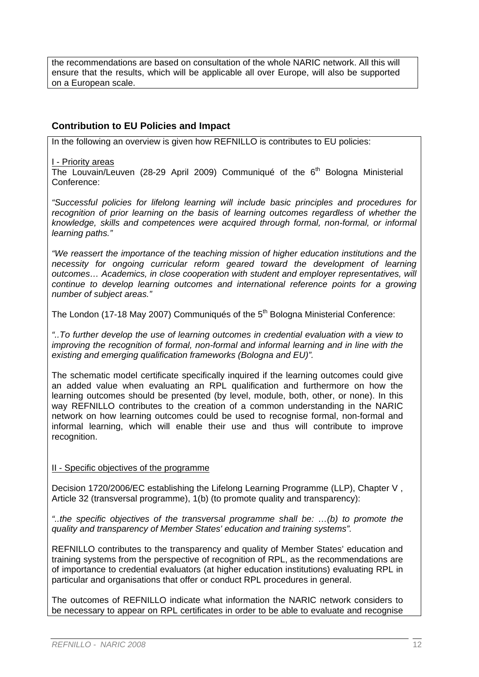the recommendations are based on consultation of the whole NARIC network. All this will ensure that the results, which will be applicable all over Europe, will also be supported on a European scale.

## **Contribution to EU Policies and Impact**

In the following an overview is given how REFNILLO is contributes to EU policies:

#### I - Priority areas

The Louvain/Leuven (28-29 April 2009) Communiqué of the  $6<sup>th</sup>$  Bologna Ministerial Conference:

*"Successful policies for lifelong learning will include basic principles and procedures for*  recognition of prior learning on the basis of learning outcomes regardless of whether the *knowledge, skills and competences were acquired through formal, non-formal, or informal learning paths."* 

*"We reassert the importance of the teaching mission of higher education institutions and the necessity for ongoing curricular reform geared toward the development of learning outcomes… Academics, in close cooperation with student and employer representatives, will continue to develop learning outcomes and international reference points for a growing number of subject areas."* 

The London (17-18 May 2007) Communiqués of the 5<sup>th</sup> Bologna Ministerial Conference:

*"..To further develop the use of learning outcomes in credential evaluation with a view to improving the recognition of formal, non-formal and informal learning and in line with the existing and emerging qualification frameworks (Bologna and EU)".* 

The schematic model certificate specifically inquired if the learning outcomes could give an added value when evaluating an RPL qualification and furthermore on how the learning outcomes should be presented (by level, module, both, other, or none). In this way REFNILLO contributes to the creation of a common understanding in the NARIC network on how learning outcomes could be used to recognise formal, non-formal and informal learning, which will enable their use and thus will contribute to improve recognition.

#### II - Specific objectives of the programme

Decision 1720/2006/EC establishing the Lifelong Learning Programme (LLP), Chapter V , Article 32 (transversal programme), 1(b) (to promote quality and transparency):

*"..the specific objectives of the transversal programme shall be: …(b) to promote the quality and transparency of Member States' education and training systems".*

REFNILLO contributes to the transparency and quality of Member States' education and training systems from the perspective of recognition of RPL, as the recommendations are of importance to credential evaluators (at higher education institutions) evaluating RPL in particular and organisations that offer or conduct RPL procedures in general.

The outcomes of REFNILLO indicate what information the NARIC network considers to be necessary to appear on RPL certificates in order to be able to evaluate and recognise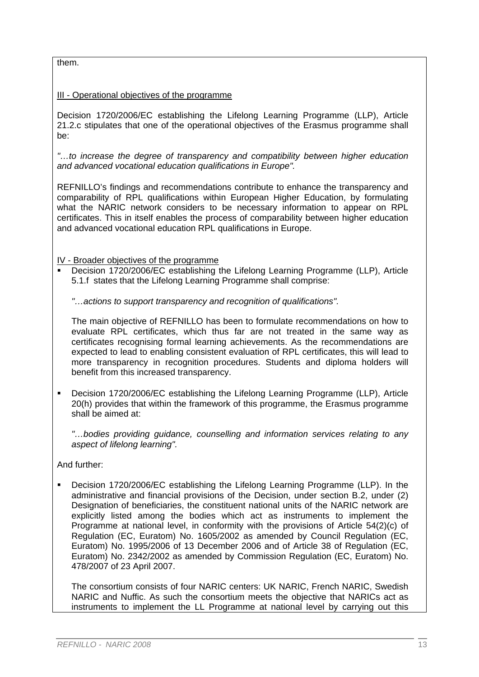them.

#### III - Operational objectives of the programme

Decision 1720/2006/EC establishing the Lifelong Learning Programme (LLP), Article 21.2.c stipulates that one of the operational objectives of the Erasmus programme shall be:

*"…to increase the degree of transparency and compatibility between higher education and advanced vocational education qualifications in Europe".*

REFNILLO's findings and recommendations contribute to enhance the transparency and comparability of RPL qualifications within European Higher Education, by formulating what the NARIC network considers to be necessary information to appear on RPL certificates. This in itself enables the process of comparability between higher education and advanced vocational education RPL qualifications in Europe.

IV - Broader objectives of the programme

 Decision 1720/2006/EC establishing the Lifelong Learning Programme (LLP), Article 5.1.f states that the Lifelong Learning Programme shall comprise:

*"…actions to support transparency and recognition of qualifications".* 

The main objective of REFNILLO has been to formulate recommendations on how to evaluate RPL certificates, which thus far are not treated in the same way as certificates recognising formal learning achievements. As the recommendations are expected to lead to enabling consistent evaluation of RPL certificates, this will lead to more transparency in recognition procedures. Students and diploma holders will benefit from this increased transparency.

 Decision 1720/2006/EC establishing the Lifelong Learning Programme (LLP), Article 20(h) provides that within the framework of this programme, the Erasmus programme shall be aimed at:

*"…bodies providing guidance, counselling and information services relating to any aspect of lifelong learning".* 

And further:

 Decision 1720/2006/EC establishing the Lifelong Learning Programme (LLP). In the administrative and financial provisions of the Decision, under section B.2, under (2) Designation of beneficiaries, the constituent national units of the NARIC network are explicitly listed among the bodies which act as instruments to implement the Programme at national level, in conformity with the provisions of Article 54(2)(c) of Regulation (EC, Euratom) No. 1605/2002 as amended by Council Regulation (EC, Euratom) No. 1995/2006 of 13 December 2006 and of Article 38 of Regulation (EC, Euratom) No. 2342/2002 as amended by Commission Regulation (EC, Euratom) No. 478/2007 of 23 April 2007.

The consortium consists of four NARIC centers: UK NARIC, French NARIC, Swedish NARIC and Nuffic. As such the consortium meets the objective that NARICs act as instruments to implement the LL Programme at national level by carrying out this